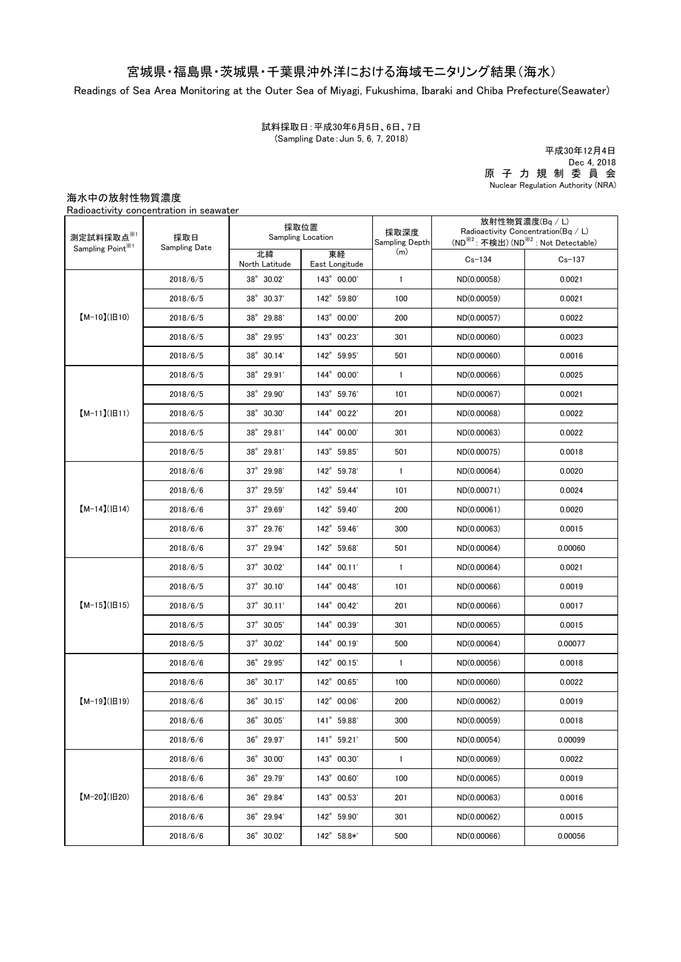## 宮城県・福島県・茨城県・千葉県沖外洋における海域モニタリング結果(海水)

Readings of Sea Area Monitoring at the Outer Sea of Miyagi, Fukushima, Ibaraki and Chiba Prefecture(Seawater)

試料採取日:平成30年6月5日、6日、7日 (Sampling Date:Jun 5, 6, 7, 2018)

平成30年12月4日 Dec 4, 2018 原 子 力 規 制 委 員 会 Nuclear Regulation Authority (NRA)

海水中の放射性物質濃度

Radioactivity concentration in seawater

| 測定試料採取点※1<br>Sampling Point <sup>※1</sup> | 採取日<br>Sampling Date | 採取位置<br><b>Sampling Location</b> |                      | 採取深度<br>Sampling Depth | 放射性物質濃度(Bq / L)<br>Radioactivity Concentration( $Bq / L$ )<br>(ND <sup>※2</sup> : 不検出) (ND <sup>※2</sup> : Not Detectable) |            |
|-------------------------------------------|----------------------|----------------------------------|----------------------|------------------------|----------------------------------------------------------------------------------------------------------------------------|------------|
|                                           |                      | 北緯<br>North Latitude             | 東経<br>East Longitude | (m)                    | $Cs - 134$                                                                                                                 | $Cs - 137$ |
| $[M-10](H10)$                             | 2018/6/5             | 38° 30.02'                       | 143° 00.00'          | $\mathbf{1}$           | ND(0.00058)                                                                                                                | 0.0021     |
|                                           | 2018/6/5             | 38° 30.37'                       | 142° 59.80'          | 100                    | ND(0.00059)                                                                                                                | 0.0021     |
|                                           | 2018/6/5             | 38° 29.88'                       | 143° 00.00'          | 200                    | ND(0.00057)                                                                                                                | 0.0022     |
|                                           | 2018/6/5             | 38° 29.95'                       | 143° 00.23'          | 301                    | ND(0.00060)                                                                                                                | 0.0023     |
|                                           | 2018/6/5             | $38^{\circ}$ 30.14'              | 142° 59.95'          | 501                    | ND(0.00060)                                                                                                                | 0.0016     |
| $[M-11](H11)$                             | 2018/6/5             | 38° 29.91'                       | 144° 00.00'          | $\mathbf{1}$           | ND(0.00066)                                                                                                                | 0.0025     |
|                                           | 2018/6/5             | 38° 29.90'                       | 143° 59.76'          | 101                    | ND(0.00067)                                                                                                                | 0.0021     |
|                                           | 2018/6/5             | 38° 30.30'                       | 144° 00.22'          | 201                    | ND(0.00068)                                                                                                                | 0.0022     |
|                                           | 2018/6/5             | 38° 29.81'                       | 144° 00.00'          | 301                    | ND(0.00063)                                                                                                                | 0.0022     |
|                                           | 2018/6/5             | $38^{\circ}$ 29.81'              | 143° 59.85'          | 501                    | ND(0.00075)                                                                                                                | 0.0018     |
|                                           | 2018/6/6             | $37^{\circ}$ 29.98'              | 142° 59.78'          | $\mathbf{1}$           | ND(0.00064)                                                                                                                | 0.0020     |
| $[M-14]( H14)$                            | 2018/6/6             | 37° 29.59'                       | 142° 59.44'          | 101                    | ND(0.00071)                                                                                                                | 0.0024     |
|                                           | 2018/6/6             | $37^{\circ}$ 29.69               | 142° 59.40'          | 200                    | ND(0.00061)                                                                                                                | 0.0020     |
|                                           | 2018/6/6             | 37° 29.76'                       | 142° 59.46'          | 300                    | ND(0.00063)                                                                                                                | 0.0015     |
|                                           | 2018/6/6             | $37^{\circ}$ 29.94               | 142° 59.68'          | 501                    | ND(0.00064)                                                                                                                | 0.00060    |
| $[M-15](H15)$                             | 2018/6/5             | $37^{\circ}$ 30.02'              | 144° 00.11'          | $\mathbf{1}$           | ND(0.00064)                                                                                                                | 0.0021     |
|                                           | 2018/6/5             | $37^{\circ}$ 30.10'              | 144° 00.48'          | 101                    | ND(0.00066)                                                                                                                | 0.0019     |
|                                           | 2018/6/5             | $37^{\circ}$ 30.11'              | 144° 00.42'          | 201                    | ND(0.00066)                                                                                                                | 0.0017     |
|                                           | 2018/6/5             | $37^{\circ}$ 30.05'              | 144° 00.39'          | 301                    | ND(0.00065)                                                                                                                | 0.0015     |
|                                           | 2018/6/5             | $37^{\circ}$ 30.02'              | 144° 00.19'          | 500                    | ND(0.00064)                                                                                                                | 0.00077    |
| $[M-19](H19)$                             | 2018/6/6             | 36° 29.95'                       | $142^{\circ}$ 00.15' | $\mathbf{1}$           | ND(0.00056)                                                                                                                | 0.0018     |
|                                           | 2018/6/6             | 36° 30.17'                       | 142° 00.65'          | 100                    | ND(0.00060)                                                                                                                | 0.0022     |
|                                           | 2018/6/6             | 36° 30.15'                       | 142° 00.06'          | 200                    | ND(0.00062)                                                                                                                | 0.0019     |
|                                           | 2018/6/6             | 36° 30.05'                       | 141° 59.88'          | 300                    | ND(0.00059)                                                                                                                | 0.0018     |
|                                           | 2018/6/6             | 36° 29.97'                       | 141° 59.21'          | 500                    | ND(0.00054)                                                                                                                | 0.00099    |
| $[M-20](H20)$                             | 2018/6/6             | 36° 30.00'                       | 143° 00.30'          | $\mathbf{1}$           | ND(0.00069)                                                                                                                | 0.0022     |
|                                           | 2018/6/6             | 36° 29.79'                       | 143° 00.60'          | 100                    | ND(0.00065)                                                                                                                | 0.0019     |
|                                           | 2018/6/6             | 36° 29.84'                       | 143° 00.53'          | 201                    | ND(0.00063)                                                                                                                | 0.0016     |
|                                           | 2018/6/6             | 36° 29.94'                       | 142° 59.90'          | 301                    | ND(0.00062)                                                                                                                | 0.0015     |
|                                           | 2018/6/6             | 36° 30.02'                       | 142° 58.8*'          | 500                    | ND(0.00066)                                                                                                                | 0.00056    |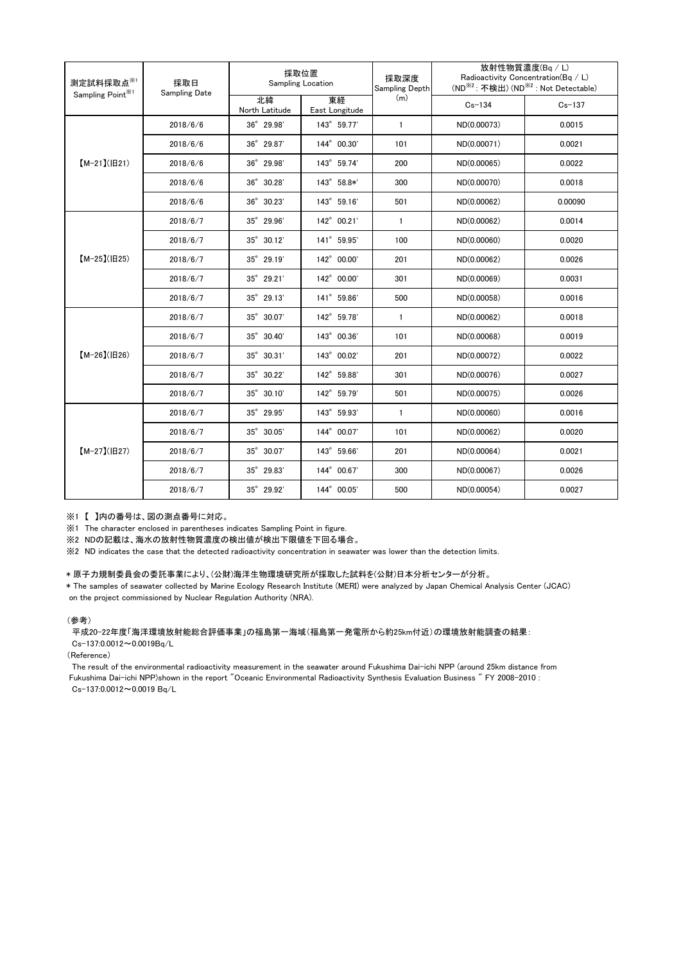| 測定試料採取点※1<br>Sampling Point <sup>※1</sup> | 採取日<br>Sampling Date | 採取位置<br>Sampling Location |                      | 採取深度<br>Sampling Depth | 放射性物質濃度(Bq / L)<br>Radioactivity Concentration(Bq / L)<br>(ND <sup>※2</sup> : 不検出) (ND <sup>※2</sup> : Not Detectable) |            |
|-------------------------------------------|----------------------|---------------------------|----------------------|------------------------|------------------------------------------------------------------------------------------------------------------------|------------|
|                                           |                      | 北緯<br>North Latitude      | 東経<br>East Longitude | (m)                    | $Cs - 134$                                                                                                             | $Cs - 137$ |
| $[M-21](H21)$                             | 2018/6/6             | 36° 29.98'                | 143° 59.77'          | $\mathbf{1}$           | ND(0.00073)                                                                                                            | 0.0015     |
|                                           | 2018/6/6             | 36° 29.87'                | 144° 00.30'          | 101                    | ND(0.00071)                                                                                                            | 0.0021     |
|                                           | 2018/6/6             | 36° 29.98'                | 143° 59.74'          | 200                    | ND(0.00065)                                                                                                            | 0.0022     |
|                                           | 2018/6/6             | 36° 30.28'                | 143° 58.8*'          | 300                    | ND(0.00070)                                                                                                            | 0.0018     |
|                                           | 2018/6/6             | 36° 30.23'                | 143° 59.16'          | 501                    | ND(0.00062)                                                                                                            | 0.00090    |
| $[M-25]( E25)$                            | 2018/6/7             | 35° 29.96'                | 142° 00.21'          | $\mathbf{1}$           | ND(0.00062)                                                                                                            | 0.0014     |
|                                           | 2018/6/7             | $35^{\circ}$ 30.12'       | 141° 59.95'          | 100                    | ND(0.00060)                                                                                                            | 0.0020     |
|                                           | 2018/6/7             | 35° 29.19'                | 142° 00.00'          | 201                    | ND(0.00062)                                                                                                            | 0.0026     |
|                                           | 2018/6/7             | 35° 29.21'                | 142° 00.00'          | 301                    | ND(0.00069)                                                                                                            | 0.0031     |
|                                           | 2018/6/7             | $35^{\circ}$ 29.13'       | 141° 59.86'          | 500                    | ND(0.00058)                                                                                                            | 0.0016     |
| $[M-26](H26)$                             | 2018/6/7             | 35° 30.07'                | 142° 59.78'          | $\mathbf{1}$           | ND(0.00062)                                                                                                            | 0.0018     |
|                                           | 2018/6/7             | 35° 30.40'                | 143° 00.36'          | 101                    | ND(0.00068)                                                                                                            | 0.0019     |
|                                           | 2018/6/7             | $35^{\circ}$ 30.31'       | 143° 00.02'          | 201                    | ND(0.00072)                                                                                                            | 0.0022     |
|                                           | 2018/6/7             | 35° 30.22'                | 142° 59.88'          | 301                    | ND(0.00076)                                                                                                            | 0.0027     |
|                                           | 2018/6/7             | $35^{\circ}$ 30.10'       | 142° 59.79'          | 501                    | ND(0.00075)                                                                                                            | 0.0026     |
| $[M-27](B27)$                             | 2018/6/7             | 35° 29.95'                | 143° 59.93'          | $\mathbf{1}$           | ND(0.00060)                                                                                                            | 0.0016     |
|                                           | 2018/6/7             | 35° 30.05'                | 144° 00.07'          | 101                    | ND(0.00062)                                                                                                            | 0.0020     |
|                                           | 2018/6/7             | 35° 30.07'                | 143° 59.66'          | 201                    | ND(0.00064)                                                                                                            | 0.0021     |
|                                           | 2018/6/7             | 35° 29.83'                | 144° 00.67'          | 300                    | ND(0.00067)                                                                                                            | 0.0026     |
|                                           | 2018/6/7             | 35° 29.92'                | 144° 00.05'          | 500                    | ND(0.00054)                                                                                                            | 0.0027     |

※1 【 】内の番号は、図の測点番号に対応。

※1 The character enclosed in parentheses indicates Sampling Point in figure.

※2 NDの記載は、海水の放射性物質濃度の検出値が検出下限値を下回る場合。

※2 ND indicates the case that the detected radioactivity concentration in seawater was lower than the detection limits.

## \* 原子力規制委員会の委託事業により、(公財)海洋生物環境研究所が採取した試料を(公財)日本分析センターが分析。

\* The samples of seawater collected by Marine Ecology Research Institute (MERI) were analyzed by Japan Chemical Analysis Center (JCAC) on the project commissioned by Nuclear Regulation Authority (NRA).

## (参考)

平成20-22年度「海洋環境放射能総合評価事業」の福島第一海域(福島第一発電所から約25km付近)の環境放射能調査の結果: Cs-137:0.0012~0.0019Bq/L

(Reference)

The result of the environmental radioactivity measurement in the seawater around Fukushima Dai-ichi NPP (around 25km distance from Fukushima Dai-ichi NPP)shown in the report "Oceanic Environmental Radioactivity Synthesis Evaluation Business " FY 2008-2010 : Cs-137:0.0012~0.0019 Bq/L